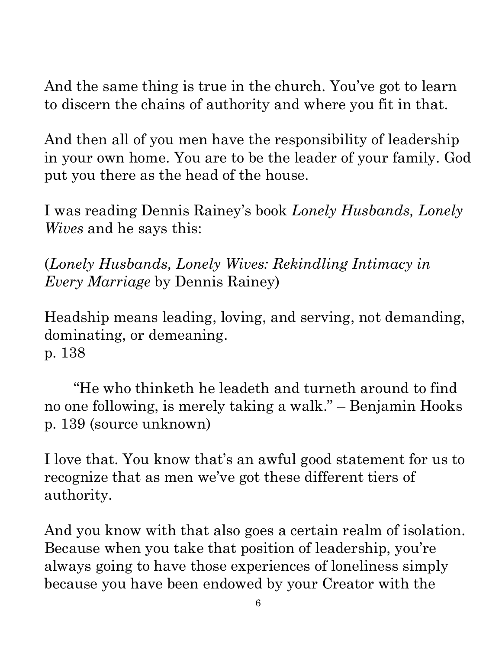And the same thing is true in the church. You've got to learn to discern the chains of authority and where you fit in that.

And then all of you men have the responsibility of leadership in your own home. You are to be the leader of your family. God put you there as the head of the house.

I was reading Dennis Rainey's book *Lonely Husbands, Lonely Wives* and he says this:

(*Lonely Husbands, Lonely Wives: Rekindling Intimacy in Every Marriage* by Dennis Rainey)

Headship means leading, loving, and serving, not demanding, dominating, or demeaning. p. 138

 "He who thinketh he leadeth and turneth around to find no one following, is merely taking a walk." – Benjamin Hooks p. 139 (source unknown)

I love that. You know that's an awful good statement for us to recognize that as men we've got these different tiers of authority.

And you know with that also goes a certain realm of isolation. Because when you take that position of leadership, you're always going to have those experiences of loneliness simply because you have been endowed by your Creator with the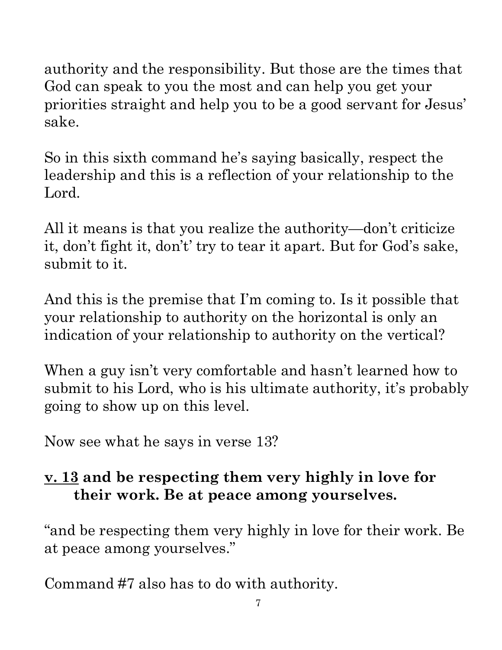authority and the responsibility. But those are the times that God can speak to you the most and can help you get your priorities straight and help you to be a good servant for Jesus' $\vec{\varepsilon}$ sake.

So in this sixth command he's saying basically, respect the leadership and this is a reflection of your relationship to the Lord.

All it means is that you realize the authority—don't criticize it, don't fight it, don't' try to tear it apart. But for God's sake, submit to it.

And this is the premise that I'm coming to. Is it possible that your relationship to authority on the horizontal is only an indication of your relationship to authority on the vertical?

When a guy isn't very comfortable and hasn't learned how to submit to his Lord, who is his ultimate authority, it's probably going to show up on this level.

Now see what he says in verse 13?

## **v. 13 and be respecting them very highly in love for their work. Be at peace among yourselves.**

"and be respecting them very highly in love for their work. Be at peace among yourselves."

Command #7 also has to do with authority.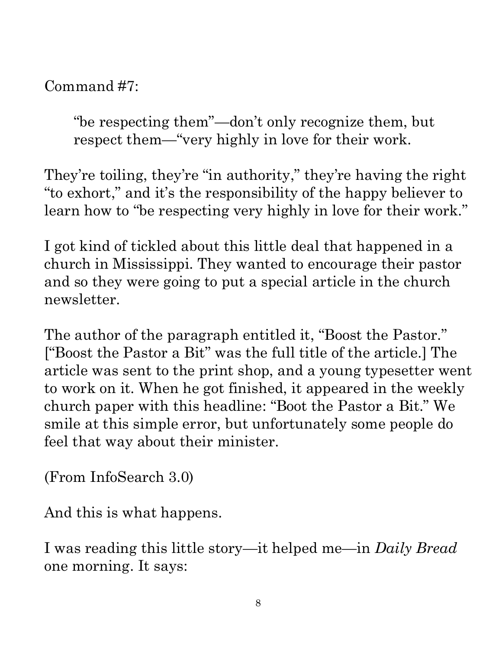Command #7:

"be respecting them"—don't only recognize them, but respect them—"very highly in love for their work.

They're toiling, they're "in authority," they're having the right "to exhort," and it's the responsibility of the happy believer to learn how to "be respecting very highly in love for their work."

I got kind of tickled about this little deal that happened in a church in Mississippi. They wanted to encourage their pastor and so they were going to put a special article in the church newsletter.

The author of the paragraph entitled it, "Boost the Pastor." ["Boost the Pastor a Bit" was the full title of the article.] The Command #*i*:<br>
"be respecting them"—don't only recognize them, but<br>
respect them—"vory highly in love for their work.<br>
They're toiling, they're "in authority," they're having the right<br>
"to exhort," and it's the responsib to work on it. When he got finished, it appeared in the weekly<sup>®</sup><br>church paper with this headline: "Boot the Pastor a Bit." We smile at this simple error, but unfortunately some people do<br>feel that way about their ministe church paper with this headline: "Boot the Pastor a Bit." We smile at this simple error, but unfortunately some people do feel that way about their minister.

(From InfoSearch 3.0)

And this is what happens.

I was reading this little story—it helped me—in *Daily Bread* one morning. It says: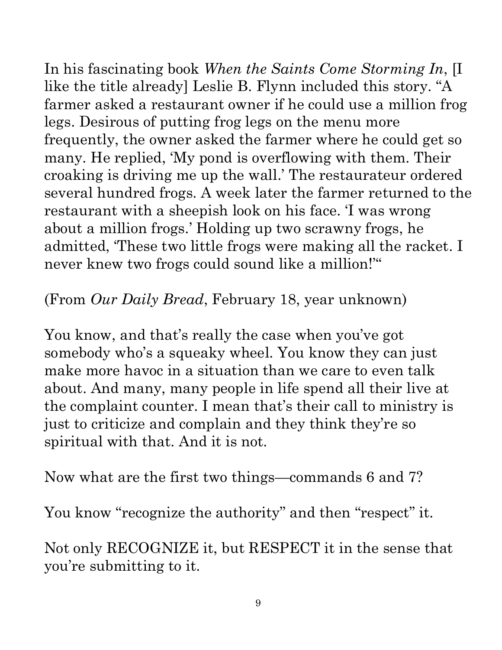In his fascinating book *When the Saints Come Storming In*, [I like the title already] Leslie B. Flynn included this story. "A like the title already] Leslie B. Flynn included this story. "A  $_{\frac{3}{5}}$  farmer asked a restaurant owner if he could use a million froglegs. Desirous of putting frog legs on the menu more frequently, the owner asked the farmer where he could get so many. He replied, 'My pond is overflowing with them. Their croaking is driving me up the wall.' The restaurateur ordered several hundred frogs. A week later the farmer returned to the restaurant with a sheepish look on his face. 'I was wrong about a million frogs.' Holding up two scrawny frogs, he never knew two frogs could sound like a million!'"

## (From *Our Daily Bread*, February 18, year unknown)

restaurant with a sheepish look on his face. T was wrong<br>about a million frogs. Holding up two scrawny frogs, he<br>admitted, These two little frogs were making all the racket. If<br>never knew two frogs could sound like a mill You know, and that's really the case when you've got somebody who's a squeaky wheel. You know they can just make more havoc in a situation than we care to even talk about. And many, many people in life spend all their live at the complaint counter. I mean that's their call to ministry is just to criticize and complain and they think they're so spiritual with that. And it is not.

Now what are the first two things—commands 6 and 7?

You know "recognize the authority" and then "respect" it.

Not only RECOGNIZE it, but RESPECT it in the sense that you're submitting to it.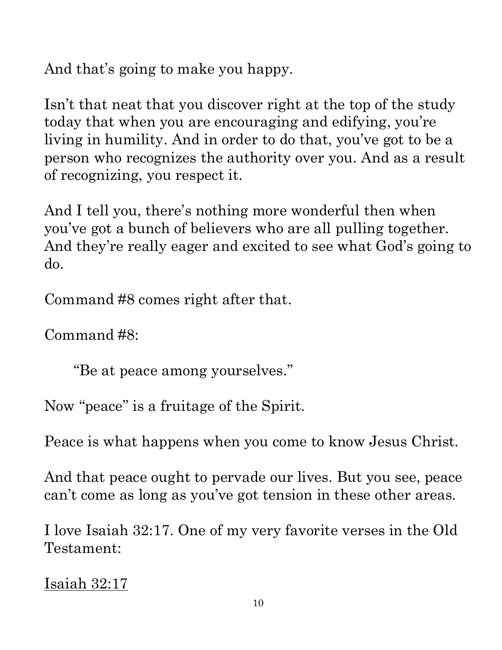And that's going to make you happy.

Isn't that neat that you discover right at the top of the study today that when you are encouraging and edifying, you're living in humility. And in order to do that, you've got to be a person who recognizes the authority over you. And as a result of recognizing, you respect it.

And I tell you, there's nothing more wonderful then when you've got a bunch of believers who are all pulling together. And they're really eager and excited to see what God's going to do.

Command #8 comes right after that.

Command #8:

"Be at peace among yourselves."

Now "peace" is a fruitage of the Spirit.

Peace is what happens when you come to know Jesus Christ.

And that peace ought to pervade our lives. But you see, peace  $\overline{\phantom{a}}$ can't come as long as you've got tension in these other areas.

I love Isaiah 32:17. One of my very favorite verses in the Old Testament:

```
Isaiah 32:17
```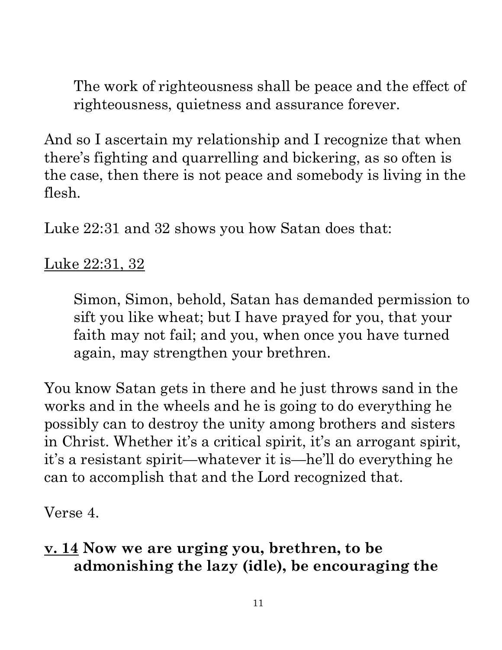The work of righteousness shall be peace and the effect of righteousness, quietness and assurance forever.

And so I ascertain my relationship and I recognize that when there's fighting and quarrelling and bickering, as so often is the case, then there is not peace and somebody is living in the flesh.

Luke 22:31 and 32 shows you how Satan does that:

#### Luke 22:31, 32

Simon, Simon, behold, Satan has demanded permission to sift you like wheat; but I have prayed for you, that your faith may not fail; and you, when once you have turned again, may strengthen your brethren.

You know Satan gets in there and he just throws sand in the works and in the wheels and he is going to do everything he possibly can to destroy the unity among brothers and sisters in Christ. Whether it's a critical spirit, it's an arrogant spirit, it's a resistant spirit—whatever it is—he'll do everything he can to accomplish that and the Lord recognized that.

Verse 4.

#### **v. 14 Now we are urging you, brethren, to be admonishing the lazy (idle), be encouraging the**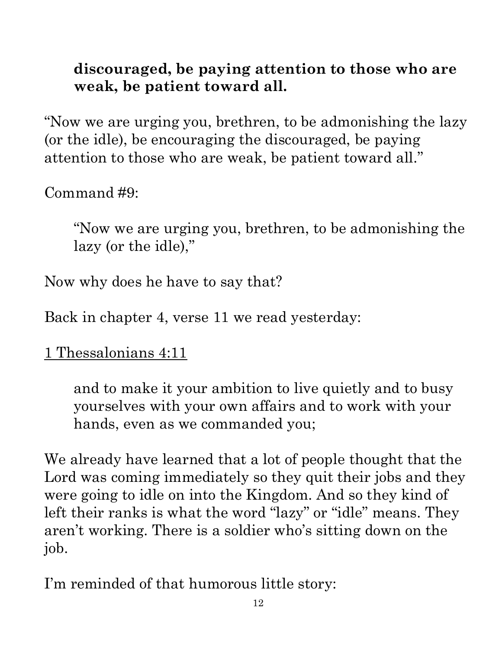#### **discouraged, be paying attention to those who are weak, be patient toward all.**

weak, be patient toward all.<br>"Now we are urging you, brethren, to be admonishing the lazy (or the idle), be encouraging the discouraged, be paying attention to those who are weak, be patient toward all."

Command #9:

"Now we are urging you, brethren, to be admonishing the  $\frac{a}{2}$ lazy (or the idle),"

Now why does he have to say that?

Back in chapter 4, verse 11 we read yesterday:

1 Thessalonians 4:11

and to make it your ambition to live quietly and to busy yourselves with your own affairs and to work with your hands, even as we commanded you;

We already have learned that a lot of people thought that the Lord was coming immediately so they quit their jobs and they were going to idle on into the Kingdom. And so they kind of left their ranks is what the word "lazy" or "idle" means. They aren't working. There is a soldier who's sitting down on the job.

I'm reminded of that humorous little story: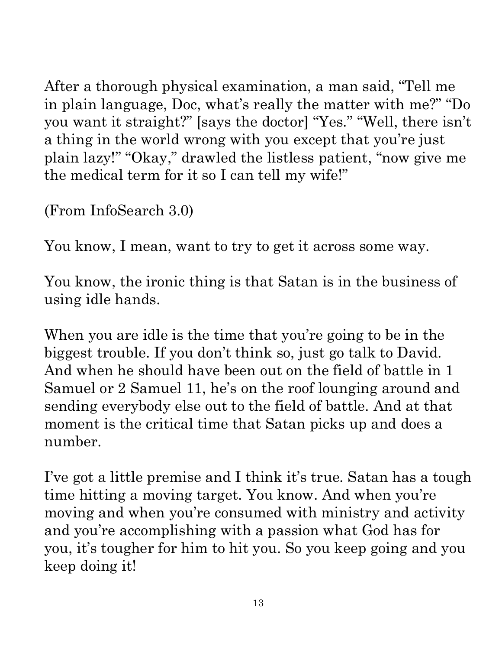After a thorough physical examination, a man said, "Tell me you want it straight?" [says the doctor] "Yes." "Well, there isn't a thing in the world wrong with you except that you're just plain lazy!" "Okay," drawled the listless patient, "now give me the medical term for it so I can tell my wife!" attribute. Any use of material without proper citation is unintentional. Teacher notes have been compiled by Ronnie Marroquin.

(From InfoSearch 3.0)

You know, I mean, want to try to get it across some way.

You know, the ironic thing is that Satan is in the business of using idle hands.

Atter a thorough physical examination, a man said, "Tell me<br>
in plain language, Doc, what's really the matter with me?" "Doint<br>
you want it straight?" [says the doctor] "Yes." "Well, there isn't<br>
plain lazy?" "Okay," draw When you are idle is the time that you're going to be in the biggest trouble. If you don't think so, just go talk to David. And when he should have been out on the field of battle in 1 Samuel or 2 Samuel 11, he's on the roof lounging around and sending everybody else out to the field of battle. And at that moment is the critical time that Satan picks up and does a number.

I've got a little premise and I think it's true. Satan has a tough time hitting a moving target. You know. And when you're moving and when you're consumed with ministry and activity and you're accomplishing with a passion what God has for you, it's tougher for him to hit you. So you keep going and you keep doing it!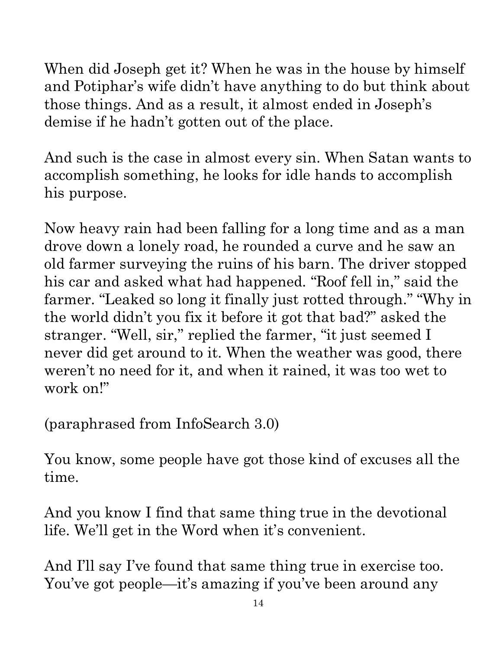When did Joseph get it? When he was in the house by himself and Potiphar's wife didn't have anything to do but think about those things. And as a result, it almost ended in Joseph's demise if he hadn't gotten out of the place.

And such is the case in almost every sin. When Satan wants  $\mathbf{t}^{\mathbf{d}}$ accomplish something, he looks for idle hands to accomplish his purpose.

Now heavy rain had been falling for a long time and as a man drove down a lonely road, he rounded a curve and he saw an old farmer surveying the ruins of his barn. The driver stopped his car and asked what had happened. "Roof fell in," said the farmer. "Leaked so long it finally just rotted through." "Why in  $\frac{1}{2}$ the world didn't you fix it before it got that bad?" asked the stranger. "Well, sir," replied the farmer, "it just seemed I the world didn't you fix it before it got that bad?" asked the<br>stranger. "Well, sir," replied the farmer, "it just seemed I<br>never did get around to it. When the weather was good, there  $\frac{3}{8}$ <br>weren't no need for it, an weren't no need for it, and when it rained, it was too wet to work on!" attribute. Any use of material without proper citation is unintentional. Teacher notes have been compiled by Ronnie Marroquin.

(paraphrased from InfoSearch 3.0)

You know, some people have got those kind of excuses all the time.

And you know I find that same thing true in the devotional life. We'll get in the Word when it's convenient.

And I'll say I've found that same thing true in exercise too. You've got people—it's amazing if you've been around any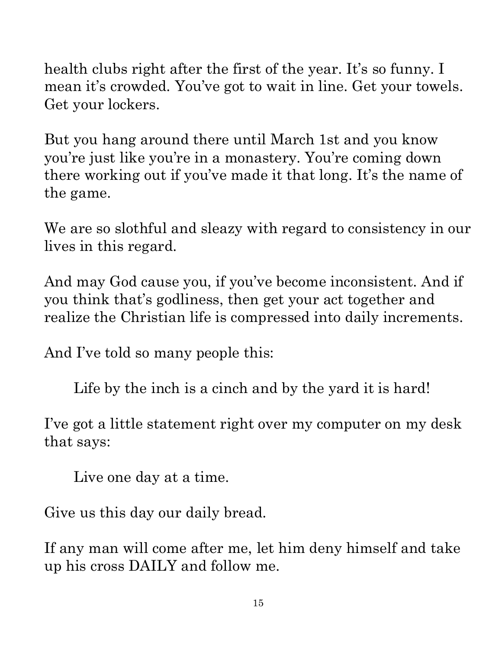health clubs right after the first of the year. It's so funny. I mean it's crowded. You've got to wait in line. Get your towels. Get your lockers.

But you hang around there until March 1st and you know you're just like you're in a monastery. You're coming down there working out if you've made it that long. It's the name of the game.

We are so slothful and sleazy with regard to consistency in our lives in this regard.

And may God cause you, if you've become inconsistent. And if  $\frac{2}{3}$  you think that's godliness, then get your act together and you think that's godliness, then get your act together and

And I've told so many people this:

Life by the inch is a cinch and by the yard it is hard!

realize the Christian life is compressed into daily increments.<br>
And I've told so many people this:<br>
Life by the inch is a cinch and by the yard it is hard!<br>
I've got a little statement right over my computer on my desk I've got a little statement right over my computer on my desk that says:

Live one day at a time.

Give us this day our daily bread.

If any man will come after me, let him deny himself and take up his cross DAILY and follow me.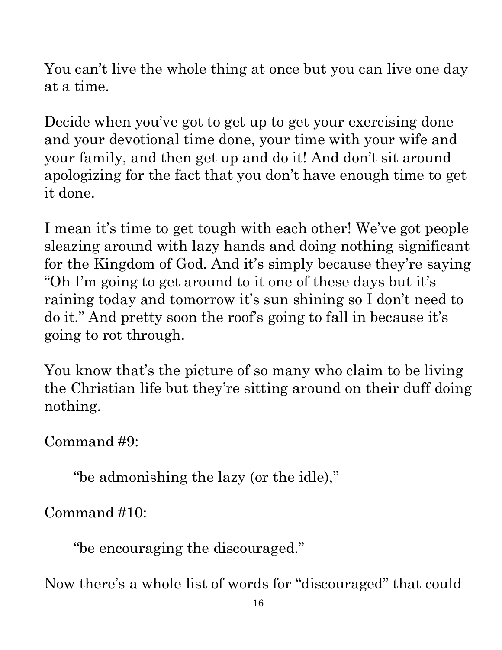paraphrased and summarized material from a variety of sources Quotations particularly reside within the realm of fair use. It is the nature of teacher notes to contain references that may prove difficult to accurately paraphrased and summarized material from a variety of sources, all of which have been appropriately credited to the best of our ability. Copyright © 2020 by Bible Teaching Resources by Don Anderson Ministries. The author's teacher notes incorporate quoted Copyright © 2020 by Bible Teaching Resources by Don Anderson Ministries. The author's teacher notes incorporate quoted, the nature of teacher all of which have been appropriately credited to the best of our ability

You can't live the whole thing at once but you can live one day at a time.

Decide when you've got to get up to get your exercising done and your devotional time done, your time with your wife and your family, and then get up and do it! And don't sit around apologizing for the fact that you don't have enough time to get it done.

I mean it's time to get tough with each other! We've got people sleazing around with lazy hands and doing nothing significant for the Kingdom of God. And it's simply because they're saying "Oh I'm going to get around to it one of these days but it's raining today and tomorrow it's sun shining so I don't need to do it." And pretty soon the roof's going to fall in because it's going to rot through. attribute. Any use of material without proper citation is unintentional. Teacher notes have been compiled by Ronnie Marroquin.

You know that's the picture of so many who claim to be living the Christian life but they're sitting around on their duff doing<br>nothing.<br>Command #9:<br> $\begin{array}{cccc}\n\text{"bendend}\n\end{array}$ <br>
"be admonishing the lazy (or the idle),"<br>
Command #10:<br>
"be encouraging the discouraged." compiled by Ronnie Marroquin nothing.

Command #9:

"be admonishing the lazy (or the idle),"

Command #10:

"be encouraging the discouraged."

Now there's a whole list of words for "discouraged" that could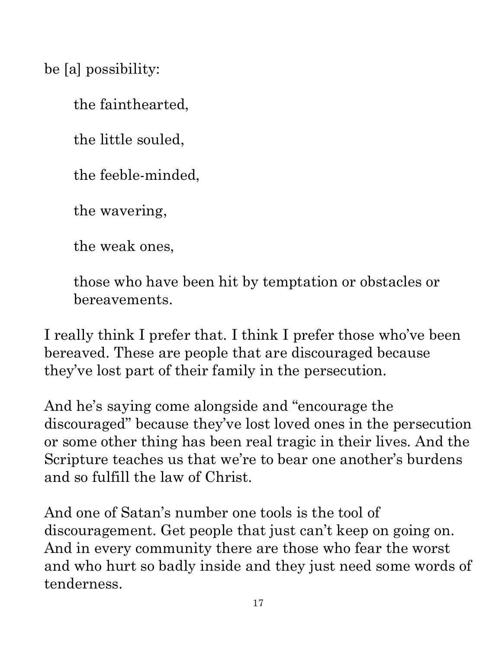be [a] possibility:

the fainthearted,

the little souled,

the feeble-minded,

the wavering,

the weak ones,

those who have been hit by temptation or obstacles or bereavements.

I really think I prefer that. I think I prefer those who've been bereaved. These are people that are discouraged because they've lost part of their family in the persecution.

And he's saying come alongside and "encourage the discouraged" because they've lost loved ones in the persecution or some other thing has been real tragic in their lives. And the Scripture teaches us that we're to bear one another's burdens and so fulfill the law of Christ. and so fulfill the law of Christ. the fainthearted,<br>
the little souled,<br>
the treeble-minded,<br>
the wavering,<br>
the wavering,<br>
the weak ones,<br>
those who have been hit by temptation or obstacles or<br>
bereavements.<br>
I really think I prefer that. I think I prefer attribute. Any use of material without proper citation is unintentional. Teacher notes have been compiled by Ronnie Marroquin.

And one of Satan's number one tools is the tool of discouragement. Get people that just can't keep on going on. And in every community there are those who fear the worst tenderness.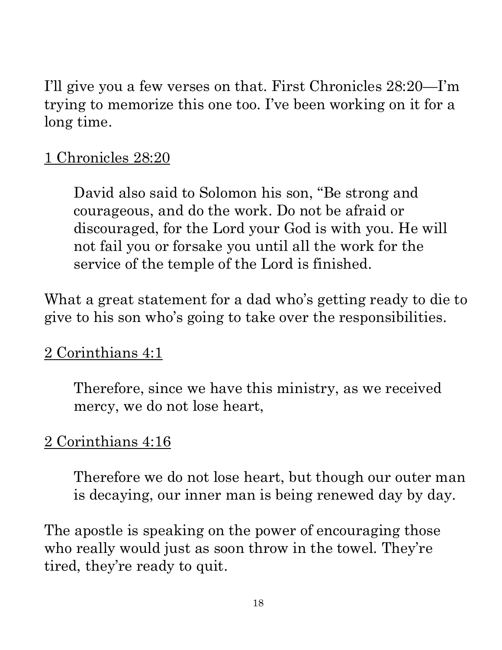I'll give you a few verses on that. First Chronicles 28:20—I'm trying to memorize this one too. I've been working on it for a long time.

#### 1 Chronicles 28:20

David also said to Solomon his son, "Be strong and courageous, and do the work. Do not be afraid or discouraged, for the Lord your God is with you. He will not fail you or forsake you until all the work for the service of the temple of the Lord is finished.

What a great statement for a dad who's getting ready to die to give to his son who's going to take over the responsibilities.

#### 2 Corinthians 4:1

Therefore, since we have this ministry, as we received mercy, we do not lose heart,

#### 2 Corinthians 4:16

Therefore we do not lose heart, but though our outer man is decaying, our inner man is being renewed day by day.

The apostle is speaking on the power of encouraging those who really would just as soon throw in the towel. They're tired, they're ready to quit.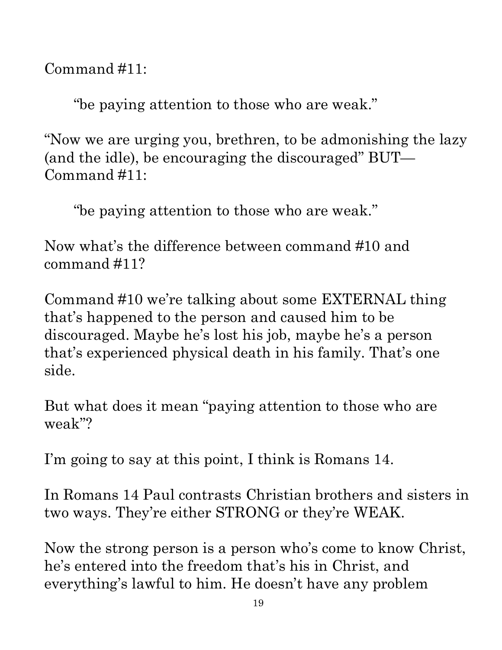Command #11:

"be paying attention to those who are weak."

"Now we are urging you, brethren, to be admonishing the lazy." (and the idle), be encouraging the discouraged" BUT— Command #11:

"be paying attention to those who are weak."

Now what's the difference between command #10 and command #11?

Command #10 we're talking about some EXTERNAL thing that's happened to the person and caused him to be discouraged. Maybe he's lost his job, maybe he's a person that's experienced physical death in his family. That's one side.

But what does it mean "paying attention to those who are weak"?

I'm going to say at this point, I think is Romans 14.

In Romans 14 Paul contrasts Christian brothers and sisters in two ways. They're either STRONG or they're WEAK.

Now the strong person is a person who's come to know Christ, he's entered into the freedom that's his in Christ, and everything's lawful to him. He doesn't have any problem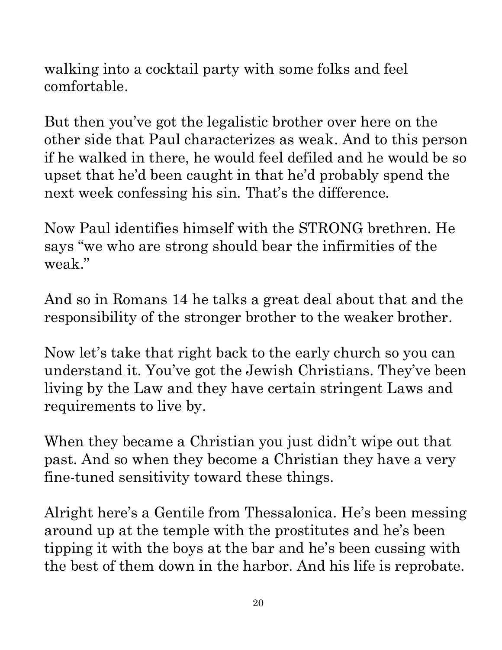walking into a cocktail party with some folks and feel comfortable.

comfortable.<br>
But then you've got the legalistic brother over here on the<br>
other side that Paul characterizes as weak. And to this person<br>
if the walked in three, he would feel defield and he would be a<br>
upset that he'd b attribute. Any But then you've got the legalistic brother over here on the if he walked in there, he would feel defiled and he would be so upset that he'd been caught in that he'd probably spend the next week confessing his sin. That's the difference.

Now Paul identifies himself with the STRONG brethren. He says "we who are strong should bear the infirmities of the weak."

And so in Romans 14 he talks a great deal about that and the responsibility of the stronger brother to the weaker brother.

Now let's take that right back to the early church so you can understand it. You've got the Jewish Christians. They've been living by the Law and they have certain stringent Laws and requirements to live by.

When they became a Christian you just didn't wipe out that past. And so when they become a Christian they have a very fine-tuned sensitivity toward these things.

Alright here's a Gentile from Thessalonica. He's been messing around up at the temple with the prostitutes and he's been tipping it with the boys at the bar and he's been cussing with the best of them down in the harbor. And his life is reprobate.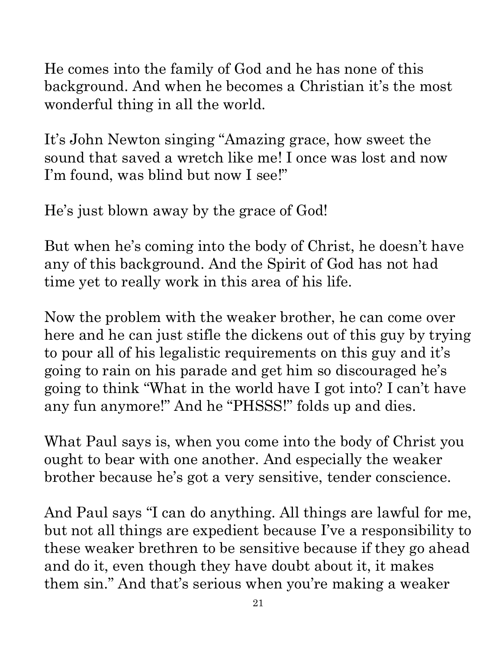He comes into the family of God and he has none of this background. And when he becomes a Christian it's the most wonderful thing in all the world.

It's John Newton singing "Amazing grace, how sweet the sound that saved a wretch like me! I once was lost and now I'm found, was blind but now I see!"

He's just blown away by the grace of God!

But when he's coming into the body of Christ, he doesn't have any of this background. And the Spirit of God has not had time yet to really work in this area of his life.

Now the problem with the weaker brother, he can come over here and he can just stifle the dickens out of this guy by trying to pour all of his legalistic requirements on this guy and it's going to rain on his parade and get him so discouraged he's going to think "What in the world have I got into? I can't have any fun anymore!" And he "PHSSS!" folds up and dies. background. And when he becomes a Christian it's the most<br>wonderful thing in all the world.<br>It's John Newton singing "Amazing grace, how sweet the<br>sound that saved a wretch like me! I once was lost and now<br>I'm found, was

What Paul says is, when you come into the body of Christ you ought to bear with one another. And especially the weaker brother because he's got a very sensitive, tender conscience.

but not all things are expedient because I've a responsibility to  $\frac{1}{2}$ these weaker brethren to be sensitive because if they go ahead and do it, even though they have doubt about it, it makes them sin." And that's serious when you're making a weaker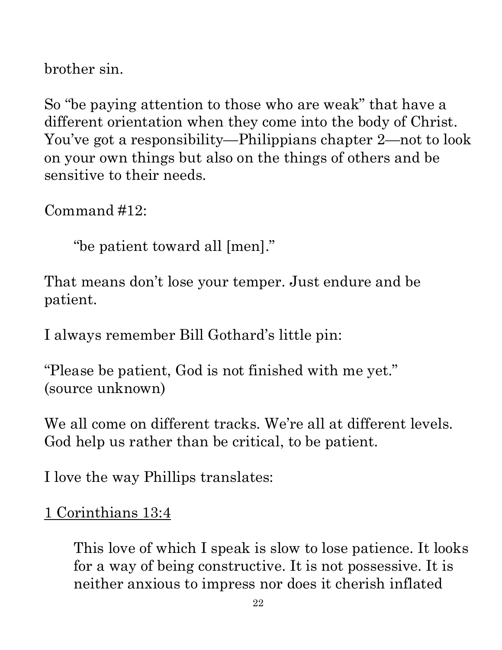brother sin.

So "be paying attention to those who are weak" that have a<br>different orientation when they come into the body of Christ. Now we got a responsibility—Philippians chapter 2—not to look<br>som your own things but also on the th attribute. Any attribute. Any use of material without proper citation is unintentional. Teacher notes have been compiled by Ronnie Marroquin.So "be paying attention to those who are weak" that have a different orientation when they come into the body of Christ. on your own things but also on the things of others and be sensitive to their needs.

Command #12:

"be patient toward all [men]."

That means don't lose your temper. Just endure and be patient.

I always remember Bill Gothard's little pin:

"Please be patient, God is not finished with me yet." (source unknown)

We all come on different tracks. We're all at different levels. God help us rather than be critical, to be patient.

I love the way Phillips translates:

1 Corinthians 13:4

This love of which I speak is slow to lose patience. It looks for a way of being constructive. It is not possessive. It is neither anxious to impress nor does it cherish inflated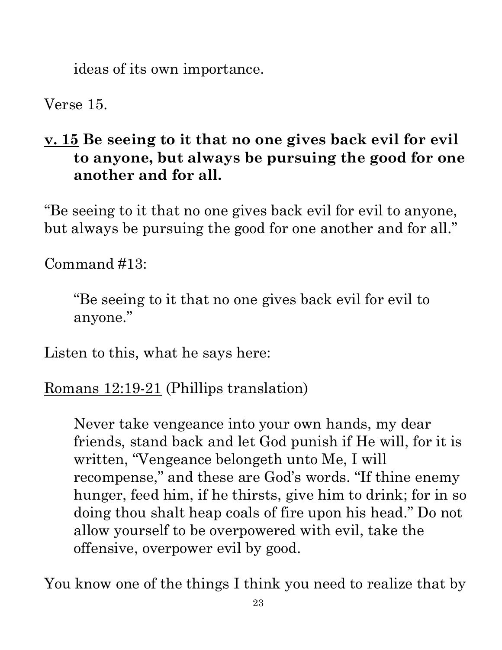ideas of its own importance.

Verse 15.

## attribute. Any use of **v. 15 Be seeing to it that no one gives back evil for evil to anyone, but always be pursuing the good for one another and for all.**

"Be seeing to it that no one gives back evil for evil to anyone, but always be pursuing the good for one another and for all."

Command #13:

"Be seeing to it that no one gives back evil for evil to anyone."

Listen to this, what he says here:

Romans 12:19-21 (Phillips translation)

Never take vengeance into your own hands, my dear friends, stand back and let God punish if He will, for it is written, "Vengeance belongeth unto Me, I will recompense," and these are God's words. "If thine enemy hunger, feed him, if he thirsts, give him to drink; for in  $\mathrm{so}^{\scriptscriptstyle\overline{\mathrm{s}}}$ doing thou shalt heap coals of fire upon his head." Do not allow yourself to be overpowered with evil, take the offensive, overpower evil by good.

You know one of the things I think you need to realize that by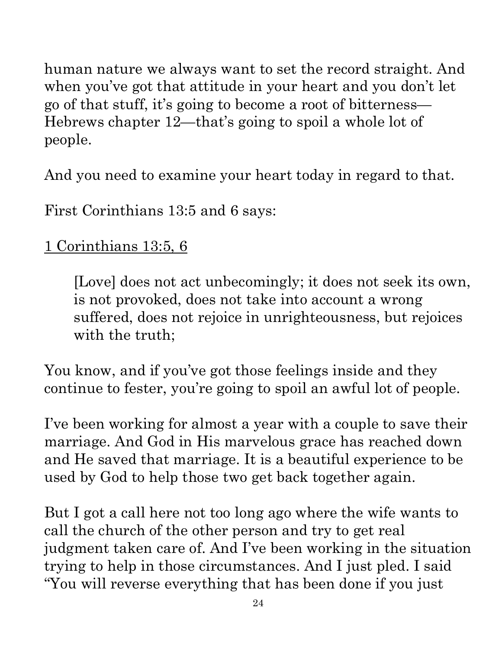human nature we always want to set the record straight. And when you've got that attitude in your heart and you don't let go of that stuff, it's going to become a root of bitterness— Hebrews chapter 12—that's going to spoil a whole lot of people.

And you need to examine your heart today in regard to that.

First Corinthians 13:5 and 6 says:

## 1 Corinthians 13:5, 6

[Love] does not act unbecomingly; it does not seek its own is not provoked, does not take into account a wrong suffered, does not rejoice in unrighteousness, but rejoices with the truth;

You know, and if you've got those feelings inside and they continue to fester, you're going to spoil an awful lot of people.

I've been working for almost a year with a couple to save their I've been working for announce  $\frac{1}{2}$  and God in His marvelous grace has reached down  $\frac{3}{2}$ and He saved that marriage. It is a beautiful experience to be<br>used by God to help those two get back together again. used by God to help those two get back together again.

But I got a call here not too long ago where the wife wants to call the church of the other person and try to get real call the church of the other person and try to get real<br>judgment taken care of. And I've been working in the situation trying to help in those circumstances. And I just pled. I said "You will reverse everything that has been done if you just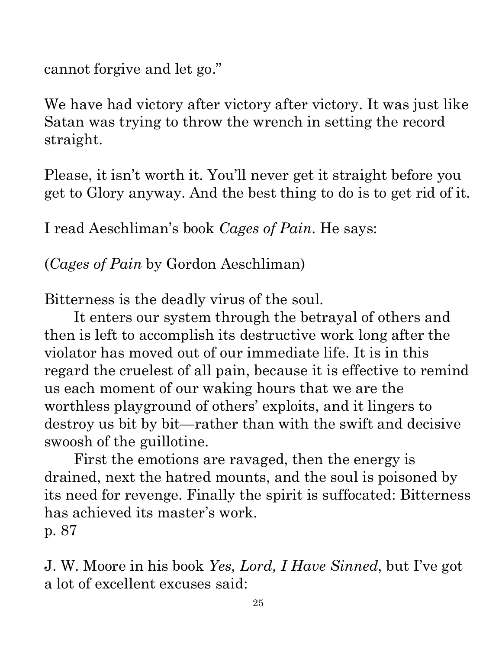cannot forgive and let go."

Satan was trying to throw the wrench in setting the record straight.

Please, it isn't worth it. You'll never get it straight before you get to Glory anyway. And the best thing to do is to get rid of it.

I read Aeschliman's book *Cages of Pain*. He says:

(*Cages of Pain* by Gordon Aeschliman)

Bitterness is the deadly virus of the soul.

We have had victory after victory after victory. It was just like<br>Satan was trying to throw the wrench in setting the record<br>straight.<br>
Please, it isn't worth it. You'll never get it straight before you<br>get to Glory anywa attribute. Any use of material without proper citation is unintentional. Teacher notes have been compiled by Ronnie Marroquin.: proper citation is unintentional. I eacher notes It enters our system through the betrayal of others and then is left to accomplish its destructive work long after the violator has moved out of our immediate life. It is in this regard the cruelest of all pain, because it is effective to remind us each moment of our waking hours that we are the worthless playground of others' exploits, and it lingers to destroy us bit by bit—rather than with the swift and decisive swoosh of the guillotine.

First the emotions are ravaged, then the energy is drained, next the hatred mounts, and the soul is poisoned by its need for revenge. Finally the spirit is suffocated: Bitterness  $|$ has achieved its master's work. p. 87

J. W. Moore in his book *Yes, Lord, I Have Sinned*, but I've got a lot of excellent excuses said: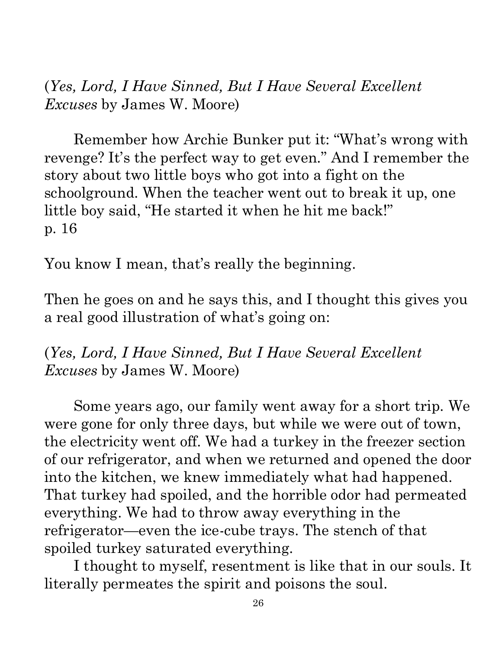attribute. Any

(*Yes, Lord, I Have Sinned, But I Have Several Excellent Excuses* by James W. Moore)

Remember how Archie Bunker put it: "What's wrong with story about two little boys who got into a fight on the schoolground. When the teacher went out to break it up, one little boy said, "He started it when he hit me back!" p. 16 attribute. Any use of material without proper citation is unintentional. Teacher notes have been compiled by Ronnie Marroquin.

You know I mean, that's really the beginning.

Then he goes on and he says this, and I thought this gives you a real good illustration of what's going on:

(*Yes, Lord, I Have Sinned, But I Have Several Excellent Excuses* by James W. Moore)

(*res, Lord, I Have Sinned, But I Have Seceral Excellent*<br>
Excuses by Jamcs W. Moore)<br>
Remember how Archie Bunker put it: "What's wrong with<br>
story about two little boys who got into a fight on the<br>
story about two little Some years ago, our family went away for a short trip. We were gone for only three days, but while we were out of town, the electricity went off. We had a turkey in the freezer section of our refrigerator, and when we returned and opened the door into the kitchen, we knew immediately what had happened. That turkey had spoiled, and the horrible odor had permeated everything. We had to throw away everything in the refrigerator—even the ice-cube trays. The stench of that spoiled turkey saturated everything.

I thought to myself, resentment is like that in our souls. It literally permeates the spirit and poisons the soul.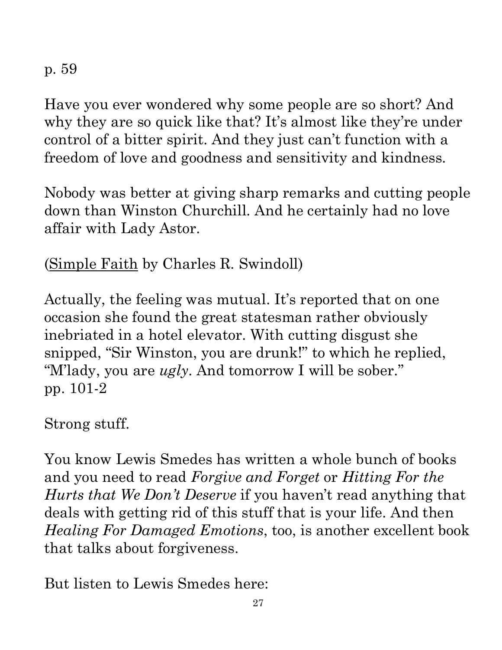p. 59

Have you ever wondered why some people are so short? And why they are so quick like that? It's almost like they're under  $\mathbb{R}^3$ control of a bitter spirit. And they just can't function with a freedom of love and goodness and sensitivity and kindness.

Nobody was better at giving sharp remarks and cutting peopl $\bar{\bar{e}}$ down than Winston Churchill. And he certainly had no love affair with Lady Astor.

(Simple Faith by Charles R. Swindoll)

Actually, the feeling was mutual. It's reported that on one occasion she found the great statesman rather obviously inebriated in a hotel elevator. With cutting disgust she snipped, "Sir Winston, you are drunk!" to which he replied, "M'lady, you are *ugly*. And tomorrow I will be sober." pp. 101-2

Strong stuff.

You know Lewis Smedes has written a whole bunch of books and you need to read *Forgive and Forget* or *Hitting For the Hurts that We Don't Deserve* if you haven't read anything that deals with getting rid of this stuff that is your life. And then Have you ever wondered why some people are so short? And<br>why they are so quick like that? It's almost like they're under?<br>control of a bitter spirit. And they just can't function with a<br>freedom of love and goodness and sen that talks about forgiveness.

But listen to Lewis Smedes here: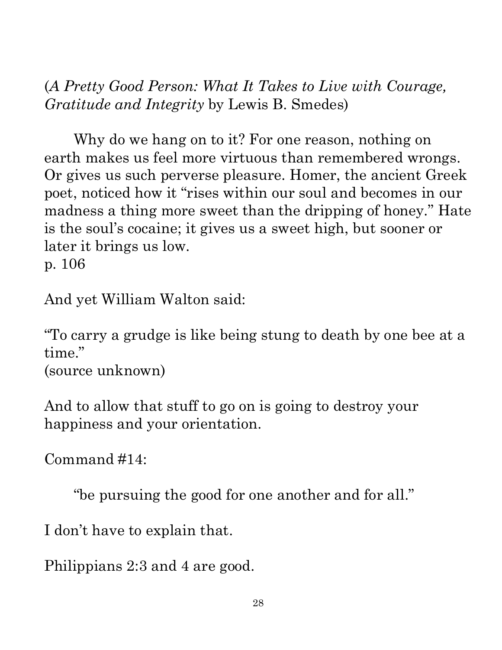(*A Pretty Good Person: What It Takes to Live with Courage, Gratitude and Integrity* by Lewis B. Smedes)

Why do we hang on to it? For one reason, nothing on earth makes us feel more virtuous than remembered wrongs. Or gives us such perverse pleasure. Homer, the ancient Greek poet, noticed how it "rises within our soul and becomes in our $\vert$ madness a thing more sweet than the dripping of honey." Hate is the soul's cocaine; it gives us a sweet high, but sooner or later it brings us low.

p. 106

And yet William Walton said:

"To carry a grudge is like being stung to death by one bee at  $a_{\overline{z}}$ time."

(source unknown)

And to allow that stuff to go on is going to destroy your happiness and your orientation.

Command #14:

"be pursuing the good for one another and for all."

I don't have to explain that.

Philippians 2:3 and 4 are good.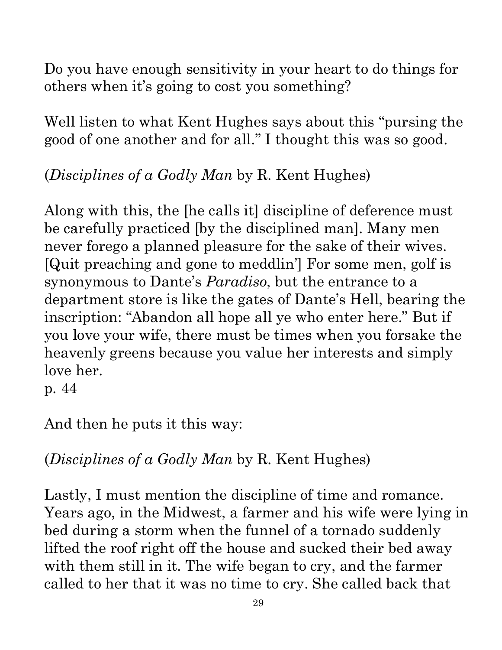paraphrased and summarized material from a attribute. Any use of material without proper citation is unintentional. Teacher notes have been compiled by Ronnie Marroquin.Quotations particularly reside within the realm of fair use. It is the nature of teacher notes to contain references that may prove difficult to accurately paraphrased and summarized material from a variety of sources, all of which have been appropriately credited to the best of our ability. Copyright © 2020 by Bible Teaching Resources by Don Anderson Ministries. The author's teacher notes incorporate quoted Copyright © 2020 by Bible Teaching Resources by Don Anderson Ministries. The author's teacher notes incorporate quoted, variety of sources, , all of which have been appropriately credited to the best of our ability

Do you have enough sensitivity in your heart to do things for others when it's going to cost you something?

others when it's going to cost you something?<br>Well listen to what Kent Hughes says about this "pursing the  $\frac{1}{2}$ good of one another and for all." I thought this was so good.

(*Disciplines of a Godly Man* by R. Kent Hughes)

Along with this, the [he calls it] discipline of deference must be carefully practiced [by the disciplined man]. Many men never forego a planned pleasure for the sake of their wives. [Quit preaching and gone to meddlin'] For some men, golf is synonymous to Dante's *Paradiso*, but the entrance to a department store is like the gates of Dante's Hell, bearing the inscription: "Abandon all hope all ye who enter here." But if inscription: "Abandon all hope all ye who enter here." But if you love your wife, there must be times when you forsake the  $\frac{1}{8}$ <br>heavenly greens because you value her interests and simply  $\frac{1}{8}$ <br>love her.<br>p. 44<br>And heavenly greens because you value her interests and simply love her. others when its going to cost you something?<br>
Well listen to what Kent Hughes says about this "pursing the same good of one another and for all." I thought this was so good.<br>
(Disciplines of a Godly Man by R. Kent Hughes)

p. 44

And then he puts it this way:

(*Disciplines of a Godly Man* by R. Kent Hughes)

Lastly, I must mention the discipline of time and romance. bed during a storm when the funnel of a tornado suddenly lifted the roof right off the house and sucked their bed away with them still in it. The wife began to cry, and the farmer called to her that it was no time to cry. She called back that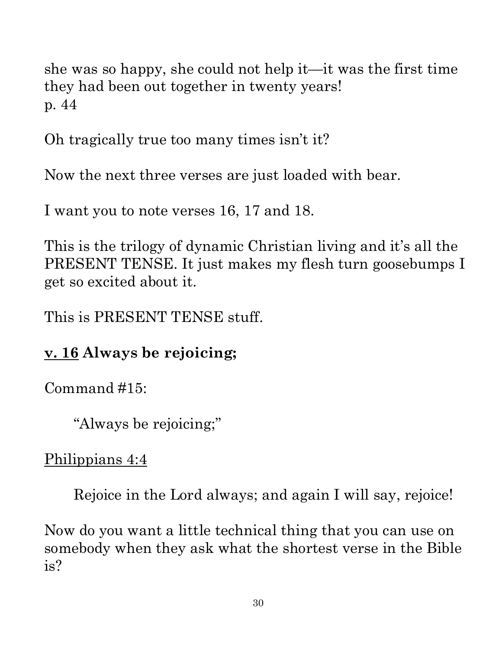she was so happy, she could not help it—it was the first time they had been out together in twenty years! p. 44

Oh tragically true too many times isn't it?

Now the next three verses are just loaded with bear.

I want you to note verses 16, 17 and 18.

This is the trilogy of dynamic Christian living and it's all the PRESENT TENSE. It just makes my flesh turn goosebumps I get so excited about it.

This is PRESENT TENSE stuff.

#### **v. 16 Always be rejoicing;**

Command #15:

"Always be rejoicing;"

Philippians 4:4

Rejoice in the Lord always; and again I will say, rejoice!

Now do you want a little technical thing that you can use on somebody when they ask what the shortest verse in the Bible is?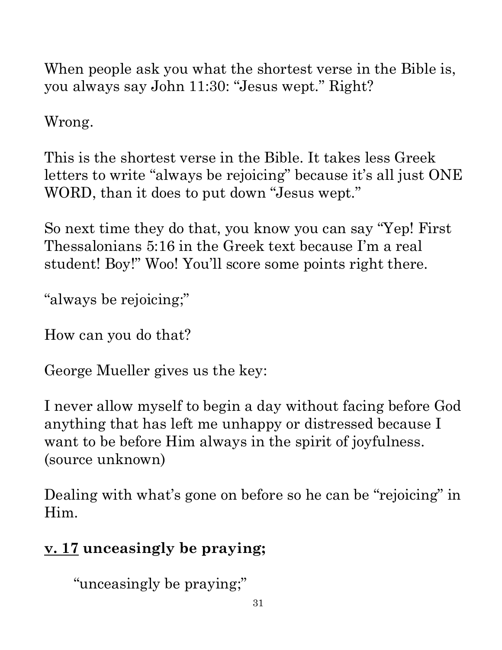When people ask you what the shortest verse in the Bible is, you always say John 11:30: "Jesus wept." Right?

Wrong.

This is the shortest verse in the Bible. It takes less Greek WORD, than it does to put down "Jesus wept."

So next time they do that, you know you can say "Yep! First Thessalonians 5:16 in the Greek text because I'm a real student! Boy!" Woo! You'll score some points right there.

"always be rejoicing;"

How can you do that?

George Mueller gives us the key:

you always say John 11:50: Jesus wept. Fught?<br>
Wrong.<br>
This is the shortest verse in the Bible. It takes less Greek<br>
letters to write "always be rejoicing" because it's all just ONE<br>
WORD, than it does to put down "Jesus w I never allow myself to begin a day without facing before God anything that has left me unhappy or distressed because I want to be before Him always in the spirit of joyfulness. (source unknown)

Dealing with what's gone on before so he can be "rejoicing" in Him.

## **v. 17 unceasingly be praying;**

"unceasingly be praying;"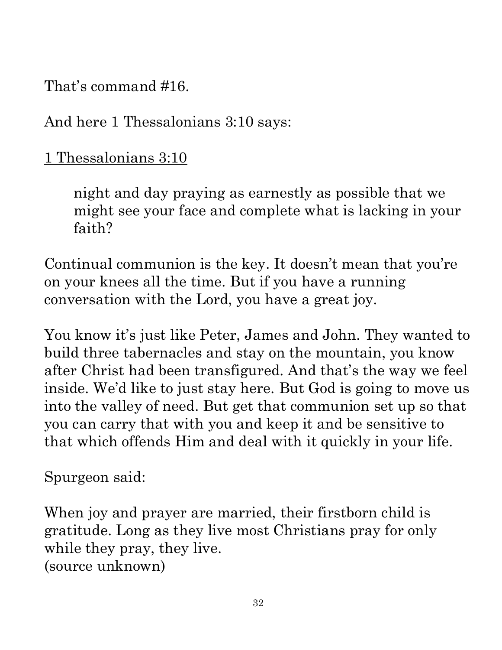paraphrased and summarized material from a variety of sources. attribute. Any use of material without proper citation is unintentional. Teacher notes have been compiled by Ronnie Marroquin.Quotations particularly reside within the realm of fair use. It is the nature of teacher notes to contain references that may prove difficult to accurately paraphrased and summarized material from a variety of sources, all of which have been appropriately credited to the best of our ability. Copyright © 2020 by Bible Teaching Resources by Don Anderson Ministries. The author's teacher notes incorporate quoted Copyright © 2020 by Bible Teaching Resources by Don Anderson Ministries. The author's teacher notes incorporate quoted, , all of which have been appropriately credited to the best of our ability by Ronnie Marroquin.

That's command #16.

And here 1 Thessalonians 3:10 says:

1 Thessalonians 3:10

night and day praying as earnestly as possible that we might see your face and complete what is lacking in your faith?

Continual communion is the key. It doesn't mean that you're on your knees all the time. But if you have a running conversation with the Lord, you have a great joy.

You know it's just like Peter, James and John. They wanted to build three tabernacles and stay on the mountain, you know That s command #16.<br>
And here 1 Thessalonians 3:10 says:<br>
1 Thessalonians 3:10<br>
might and day praying as earnestly as possible that we<br>
might see your face and complete what is lacking in your<br>
faith?<br>
Continual communion inside. We'd like to just stay here. But God is going to move us into the valley of need. But get that communion set up so that you can carry that with you and keep it and be sensitive to that which offends Him and deal with it quickly in your life.

Spurgeon said:

When joy and prayer are married, their firstborn child is gratitude. Long as they live most Christians pray for only while they pray, they live. (source unknown)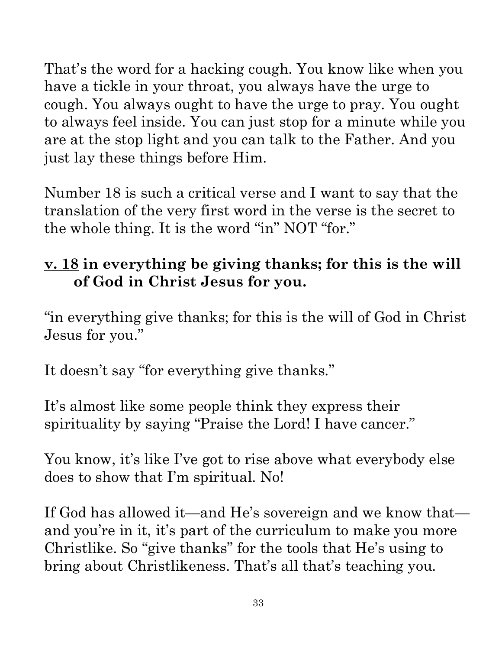That's the word for a hacking cough. You know like when you have a tickle in your throat, you always have the urge to cough. You always ought to have the urge to pray. You ought to always feel inside. You can just stop for a minute while you are at the stop light and you can talk to the Father. And you just lay these things before Him.

Number 18 is such a critical verse and I want to say that the translation of the very first word in the verse is the secret to the whole thing. It is the word "in" NOT "for." **v. 18 in everything be giving thanks; for this is the will** 

# **of God in Christ Jesus for you.**

"in everything give thanks; for this is the will of God in Christ Jesus for you."

It doesn't say "for everything give thanks."

It's almost like some people think they express their spirituality by saying "Praise the Lord! I have cancer."

You know, it's like I've got to rise above what everybody else does to show that I'm spiritual. No!

If God has allowed it—and He's sovereign and we know that and you're in it, it's part of the curriculum to make you more Christlike. So "give thanks" for the tools that He's using to bring about Christlikeness. That's all that's teaching you.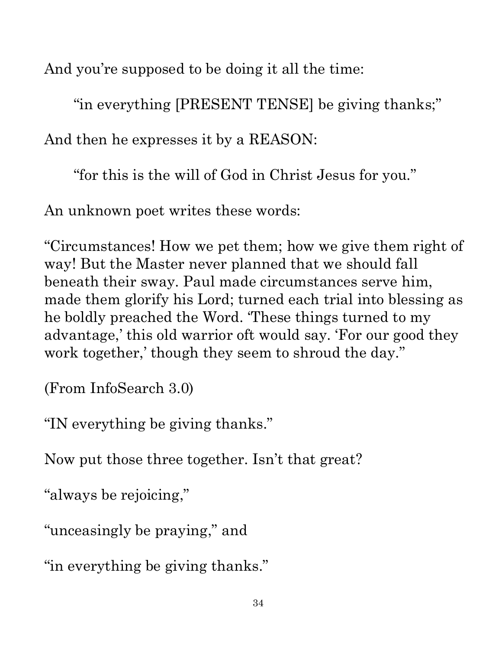And you're supposed to be doing it all the time:

"in everything [PRESENT TENSE] be giving thanks;"

And then he expresses it by a REASON:

"for this is the will of God in Christ Jesus for you."

An unknown poet writes these words:

"Circumstances! How we pet them; how we give them right of way! But the Master never planned that we should fall beneath their sway. Paul made circumstances serve him, made them glorify his Lord; turned each trial into blessing as he boldly preached the Word. 'These things turned to my he boldly preached the Word. These things turned to my<br>
advantage,' this old warrior oft would say. 'For our good they<br>
work together,' though they seem to shroud the day."<br>
(From InfoSearch 3.0)<br>
"IN everything be giving work together,' though they seem to shroud the day."

(From InfoSearch 3.0)

"IN everything be giving thanks."

Now put those three together. Isn't that great?

"always be rejoicing,"

"unceasingly be praying," and

"in everything be giving thanks."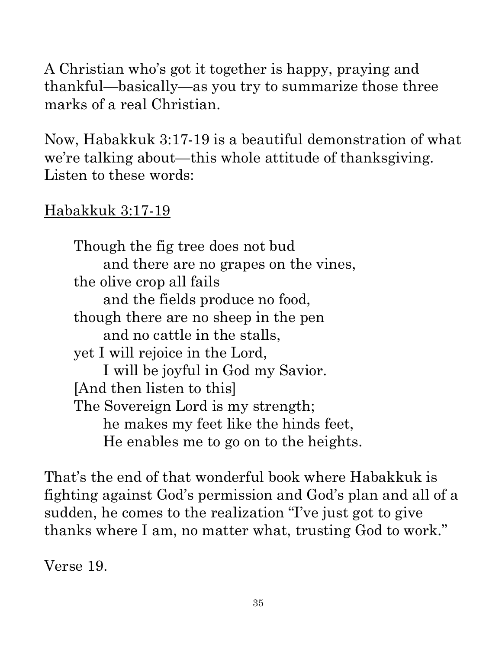A Christian who's got it together is happy, praying and thankful—basically—as you try to summarize those three marks of a real Christian.

we're talking about—this whole attitude of thanksgiving. Listen to these words:

#### Habakkuk 3:17-19

thankful—basically—as you try to summarize those three<br>
marks of a real Christian.<br>
Now, Habakkuk 3:17-19 is a beautiful demonstration of what<br>
we're talking about—this whole attitude of thanksgiving.<br>
Listen to these wor Though the fig tree does not bud and there are no grapes on the vines, the olive crop all fails and the fields produce no food, though there are no sheep in the pen and no cattle in the stalls, yet I will rejoice in the Lord, I will be joyful in God my Savior. [And then listen to this] The Sovereign Lord is my strength; he makes my feet like the hinds feet, He enables me to go on to the heights.

That's the end of that wonderful book where Habakkuk is fighting against God's permission and God's plan and all of a sudden, he comes to the realization "I've just got to give thanks where I am, no matter what, trusting God to work."

Verse 19.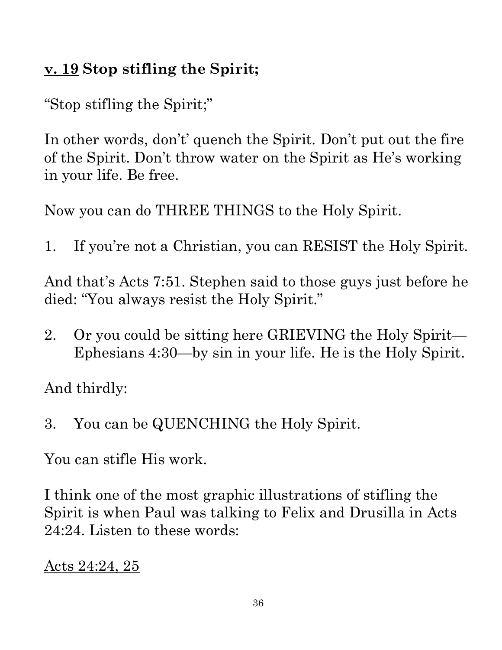attribute. Any

#### **v. 19 Stop stifling the Spirit;**

"Stop stifling the Spirit;"

In other words, don't' quench the Spirit. Don't put out the fire of the Spirit. Don't throw water on the Spirit as He's working in your life. Be free. attribute. Any use of material without proper citation is unintentional. Teacher notes have been compiled by Ronnie Marroquin.

Now you can do THREE THINGS to the Holy Spirit.

1. If you're not a Christian, you can RESIST the Holy Spiriter

And that's Acts 7:51. Stephen said to those guys just before here died: "You always resist the Holy Spirit." died: "You always resist the Holy Spirit."

2. Or you could be sitting here GRIEVING the Holy Spirit— Ephesians 4:30—by sin in your life. He is the Holy Spirit.

And thirdly:

3. You can be QUENCHING the Holy Spirit.

You can stifle His work.

I think one of the most graphic illustrations of stifling the Spirit is when Paul was talking to Felix and Drusilla in Acts 24:24. Listen to these words:

Acts 24:24, 25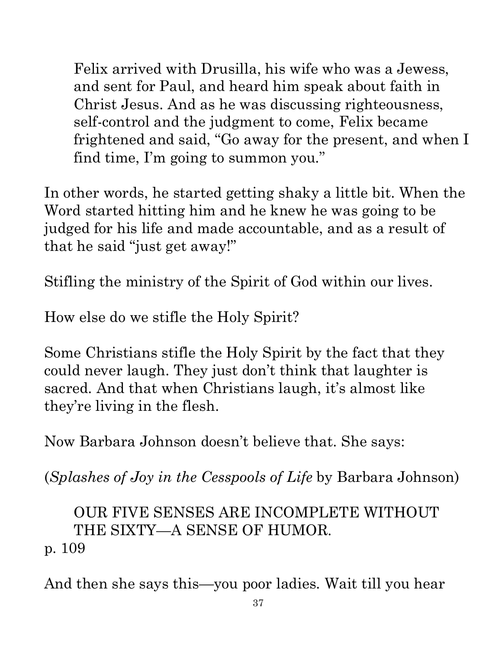Felix arrived with Drusilla, his wife who was a Jewess, and sent for Paul, and heard him speak about faith in Christ Jesus. And as he was discussing righteousness, self-control and the judgment to come, Felix became frightened and said, "Go away for the present, and when  $\mathbb I$ find time, I'm going to summon you."

In other words, he started getting shaky a little bit. When the Word started hitting him and he knew he was going to be judged for his life and made accountable, and as a result of that he said "just get away!"

Stifling the ministry of the Spirit of God within our lives.

How else do we stifle the Holy Spirit?

Some Christians stifle the Holy Spirit by the fact that they could never laugh. They just don't think that laughter is sacred. And that when Christians laugh, it's almost like they're living in the flesh.

Now Barbara Johnson doesn't believe that. She says:

(*Splashes of Joy in the Cesspools of Life* by Barbara Johnson)

OUR FIVE SENSES ARE INCOMPLETE WITHOUT THE SIXTY—A SENSE OF HUMOR. p. 109

And then she says this—you poor ladies. Wait till you hear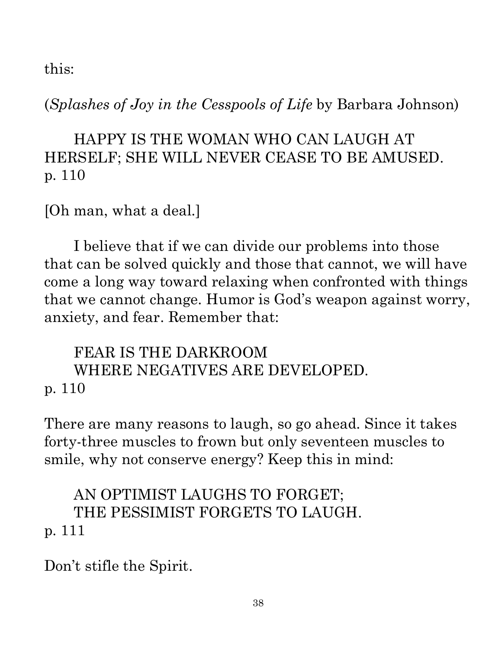this:

(*Splashes of Joy in the Cesspools of Life* by Barbara Johnson)

#### HAPPY IS THE WOMAN WHO CAN LAUGH AT HERSELF; SHE WILL NEVER CEASE TO BE AMUSED. p. 110

[Oh man, what a deal.]

I believe that if we can divide our problems into those that can be solved quickly and those that cannot, we will have come a long way toward relaxing when confronted with things come a long way toward relaxing when confronted with things that we cannot change. Humor is God's weapon against worry, anxiety, and fear. Remember that:<br>
FEAR IS THE DARKROOM WHERE NEGATIVES ARE DEVELOPED.<br>
p. 110<br>
There anxiety, and fear. Remember that:

FEAR IS THE DARKROOM WHERE NEGATIVES ARE DEVELOPED. p. 110

There are many reasons to laugh, so go ahead. Since it takes forty-three muscles to frown but only seventeen muscles to smile, why not conserve energy? Keep this in mind:

#### AN OPTIMIST LAUGHS TO FORGET; THE PESSIMIST FORGETS TO LAUGH. p. 111

Don't stifle the Spirit.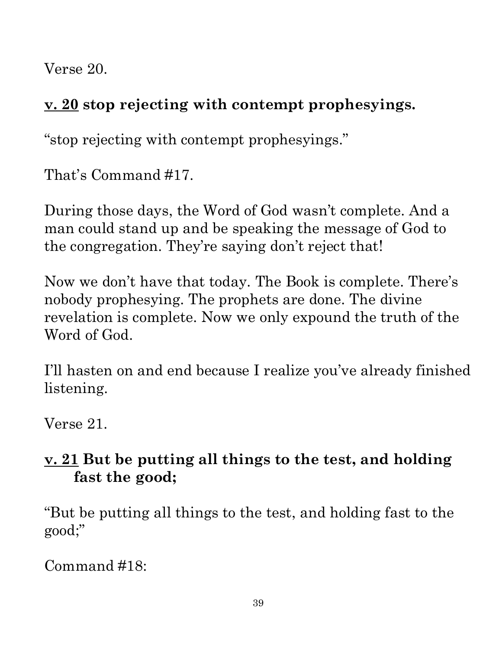Verse 20.

### **v. 20 stop rejecting with contempt prophesyings.**

"stop rejecting with contempt prophesyings."

That's Command #17.

During those days, the Word of God wasn't complete. And a man could stand up and be speaking the message of God to the congregation. They're saying don't reject that!

Now we don't have that today. The Book is complete. There's nobody prophesying. The prophets are done. The divine revelation is complete. Now we only expound the truth of the Word of God.

I'll hasten on and end because I realize you've already finished listening.

Verse 21.

#### **v. 21 But be putting all things to the test, and holding fast the good;**

"But be putting all things to the test, and holding fast to the good;"

Command #18: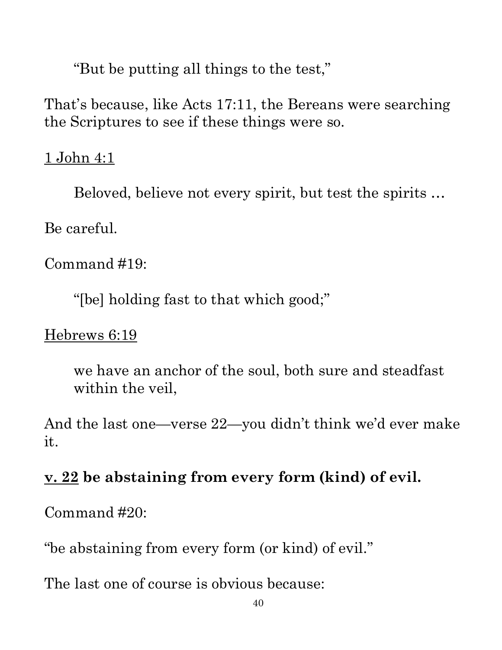"But be putting all things to the test," That's because, like Acts 17:11, the Bereans were searching the Scriptures to see if these things were so.

#### 1 John 4:1

Beloved, believe not every spirit, but test the spirits …

Be careful.

Command #19:

"[be] holding fast to that which good;"

Hebrews 6:19

we have an anchor of the soul, both sure and steadfast within the veil,

That's because, like Acts 17:11, the Bereans were searching<br>
the Scriptures to see if these things were so.<br>
1 John 4:1<br>
Beloved, believe not every spirit, but test the spirits ...<br>
Be careful.<br>
Command #19:<br>
"[be] holdin it.

## **v. 22 be abstaining from every form (kind) of evil.**

Command #20:

"be abstaining from every form (or kind) of evil."

The last one of course is obvious because: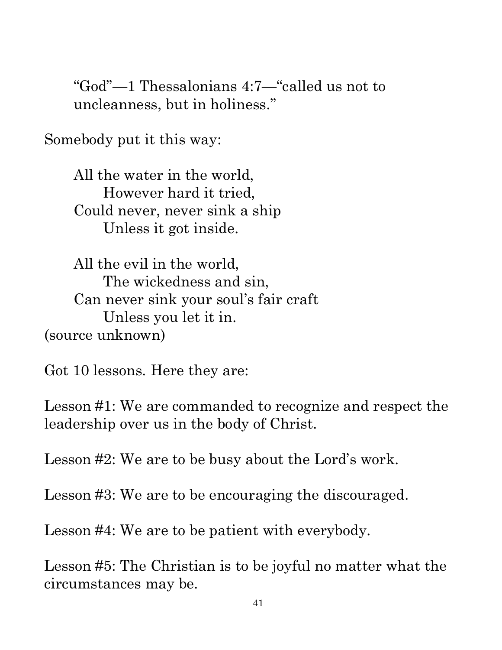"God"—1 Thessalonians 4:7—"called us not to uncleanness, but in holiness."

Somebody put it this way:

All the water in the world, However hard it tried, Could never, never sink a ship Unless it got inside.

All the evil in the world, The wickedness and sin, Can never sink your soul's fair craft Unless you let it in. (source unknown)

Got 10 lessons. Here they are:

Lesson #1: We are commanded to recognize and respect the leadership over us in the body of Christ.

Lesson #2: We are to be busy about the Lord's work.

Lesson #3: We are to be encouraging the discouraged.

Lesson #4: We are to be patient with everybody.

Lesson #5: The Christian is to be joyful no matter what the circumstances may be.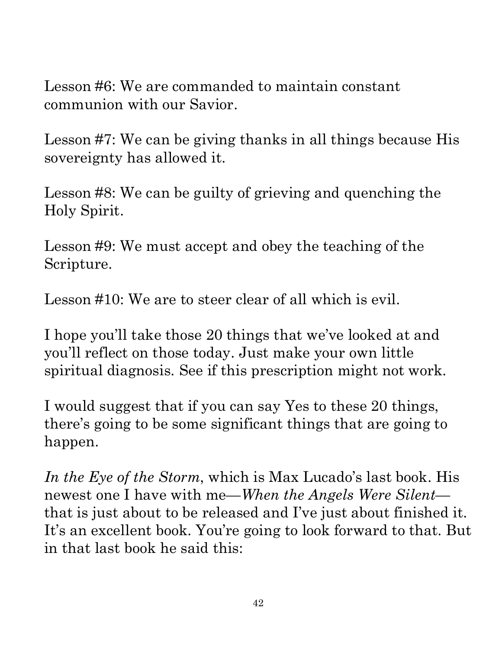Lesson #6: We are commanded to maintain constant communion with our Savior.

sovereignty has allowed it.

Lesson #8: We can be guilty of grieving and quenching the Holy Spirit.

Lesson #9: We must accept and obey the teaching of the Scripture.

Lesson #10: We are to steer clear of all which is evil.

I hope you'll take those 20 things that we've looked at and you'll reflect on those today. Just make your own little spiritual diagnosis. See if this prescription might not work.

Lesson #0: We are commanded to maintain constant<br>
communion with our Savior.<br>
Lesson #7: We can be giving thanks in all things because His<br>
sovereignty has allowed it.<br>
Lesson #8: We can be guilty of grieving and quenchin I would suggest that if you can say Yes to these 20 things, there's going to be some significant things that are going to happen.

*In the Eye of the Storm*, which is Max Lucado's last book. His newest one I have with me—*When the Angels Were Silent*— Lesson #6: We are commanded to maintain constant<br>
communion with our Savior.<br>
Lesson #7: We can be giving thanks in all things because His<br>
sovereignty has allowed it.<br>
Lesson #8: We can be guilty of grieving and quenchin It's an excellent book. You're going to look forward to that. But in that last book he said this: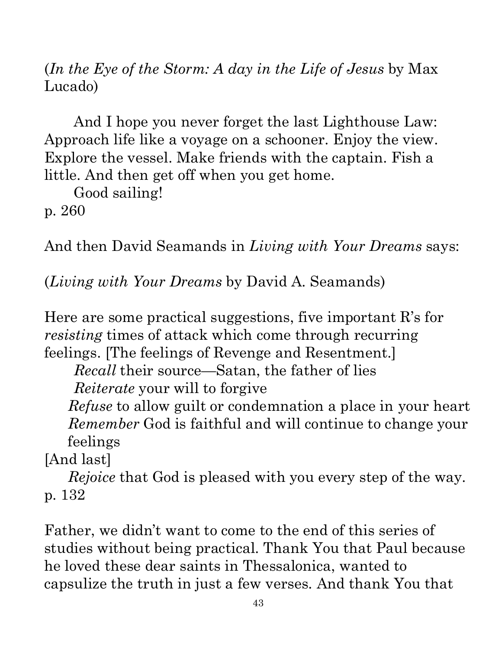(*In the Eye of the Storm: A day in the Life of Jesus* by Max Lucado)

And I hope you never forget the last Lighthouse Law: Approach life like a voyage on a schooner. Enjoy the view. Explore the vessel. Make friends with the captain. Fish a little. And then get off when you get home.

Good sailing!

p. 260

And then David Seamands in *Living with Your Dreams* says:

(*Living with Your Dreams* by David A. Seamands)

Here are some practical suggestions, five important R's for *resisting* times of attack which come through recurring feelings. [The feelings of Revenge and Resentment.]

*Recall* their source—Satan, the father of lies *Reiterate* your will to forgive

*Refuse* to allow guilt or condemnation a place in your heart *Refuse* to allow guilt or condemnation a place in your hearing *Remember* God is faithful and will continue to change your feelings and last]<br> *Rejoice* that God is pleased with you every step of the way. feelings Ronnie

[And last]

refluence that God is pleased with you every step of the way.<br>Re*joice* that God is pleased with you every step of the way. p. 132

Father, we didn't want to come to the end of this series of studies without being practical. Thank You that Paul because he loved these dear saints in Thessalonica, wanted to capsulize the truth in just a few verses. And thank You that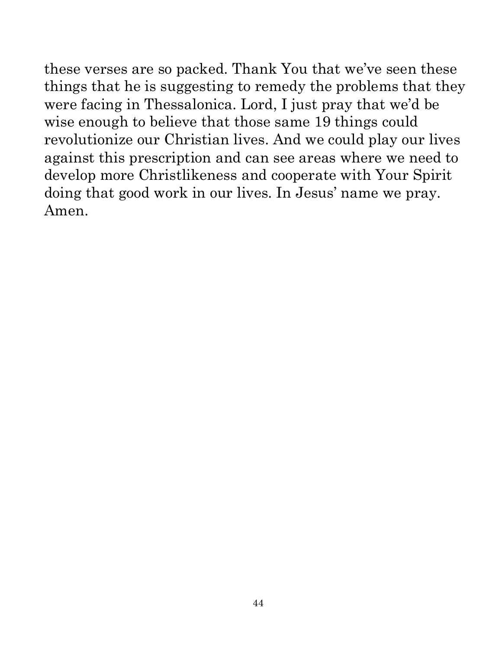these verses are so packed. Thank You that we've seen these things that he is suggesting to remedy the problems that they were facing in Thessalonica. Lord, I just pray that we'd be wise enough to believe that those same 19 things could revolutionize our Christian lives. And we could play our lives against this prescription and can see areas where we need to develop more Christlikeness and cooperate with Your Spirit doing that good work in our lives. In Jesus' name we pray. Amen.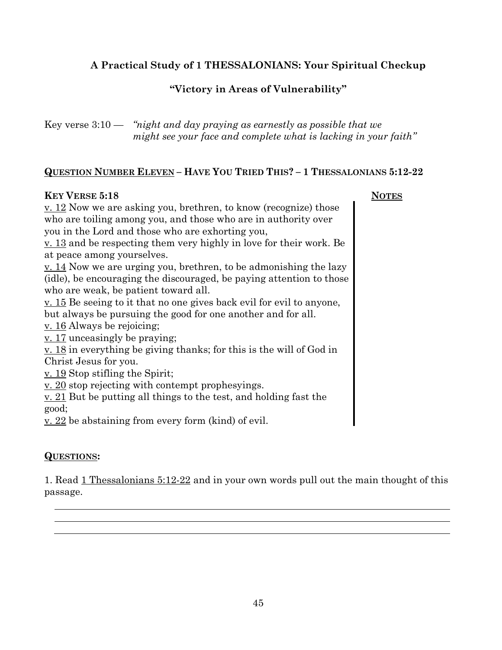#### **A Practical Study of 1 THESSALONIANS: Your Spiritual Checkup**

#### **"Victory in Areas of Vulnerability"**

Key verse 3:10 — *"night and day praying as earnestly as possible that we might see your face and complete what is lacking in your faith"* 

#### **QUESTION NUMBER ELEVEN – HAVE YOU TRIED THIS? – 1 THESSALONIANS 5:12-22**

#### **KEY VERSE 5:18** NOTES

v. 12 Now we are asking you, brethren, to know (recognize) those who are toiling among you, and those who are in authority over you in the Lord and those who are exhorting you,

v. 13 and be respecting them very highly in love for their work. Be at peace among yourselves.

v. 14 Now we are urging you, brethren, to be admonishing the lazy (idle), be encouraging the discouraged, be paying attention to those who are weak, be patient toward all.

v. 15 Be seeing to it that no one gives back evil for evil to anyone, but always be pursuing the good for one another and for all.

v. 16 Always be rejoicing;

v. 17 unceasingly be praying;

v. 18 in everything be giving thanks; for this is the will of God in Christ Jesus for you.

v. 19 Stop stifling the Spirit;

v. 20 stop rejecting with contempt prophesyings.

v. 21 But be putting all things to the test, and holding fast the good;

v. 22 be abstaining from every form (kind) of evil.

#### **QUESTIONS:**

1. Read 1 Thessalonians 5:12-22 and in your own words pull out the main thought of this passage.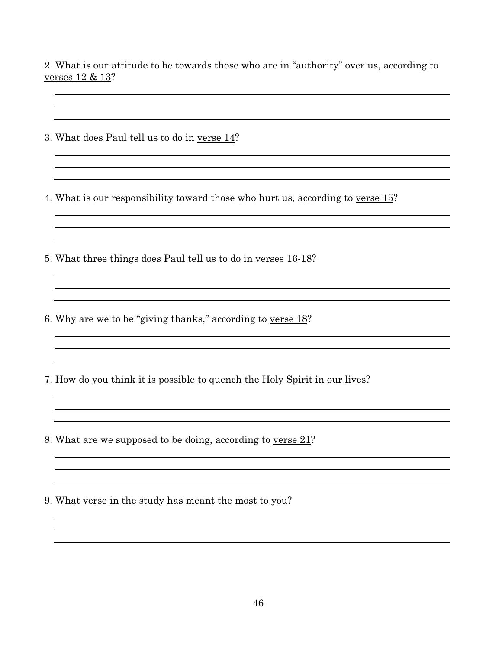$\overline{\phantom{a}}$ 

<u> 1990 - Johann Barbara, martin a</u>

2. What is our attitude to be towards those who are in "authority" over us, according to verses 12 & 13?

3. What does Paul tell us to do in verse 14?

4. What is our responsibility toward those who hurt us, according to verse 15?

<u> 1980 - Johann Barbara, martxa amerikan bashkar (</u>

<u> 1980 - Johann Barbara, martxa alemaniar amerikan a</u>

5. What three things does Paul tell us to do in verses 16-18?

6. Why are we to be "giving thanks," according to verse 18?

7. How do you think it is possible to quench the Holy Spirit in our lives?

8. What are we supposed to be doing, according to verse 21?

9. What verse in the study has meant the most to you?